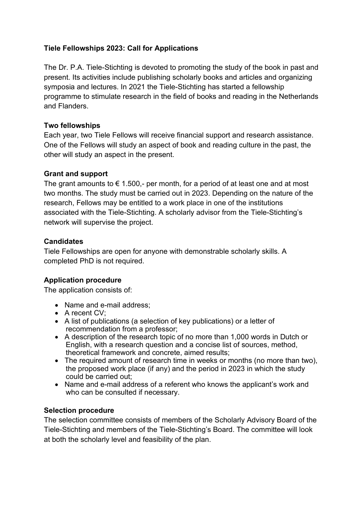# **Tiele Fellowships 2023: Call for Applications**

The Dr. P.A. Tiele-Stichting is devoted to promoting the study of the book in past and present. Its activities include publishing scholarly books and articles and organizing symposia and lectures. In 2021 the Tiele-Stichting has started a fellowship programme to stimulate research in the field of books and reading in the Netherlands and Flanders.

#### **Two fellowships**

Each year, two Tiele Fellows will receive financial support and research assistance. One of the Fellows will study an aspect of book and reading culture in the past, the other will study an aspect in the present.

#### **Grant and support**

The grant amounts to  $\epsilon$  1.500,- per month, for a period of at least one and at most two months. The study must be carried out in 2023. Depending on the nature of the research, Fellows may be entitled to a work place in one of the institutions associated with the Tiele-Stichting. A scholarly advisor from the Tiele-Stichting's network will supervise the project.

#### **Candidates**

Tiele Fellowships are open for anyone with demonstrable scholarly skills. A completed PhD is not required.

## **Application procedure**

The application consists of:

- Name and e-mail address;
- A recent CV:
- A list of publications (a selection of key publications) or a letter of recommendation from a professor;
- A description of the research topic of no more than 1,000 words in Dutch or English, with a research question and a concise list of sources, method, theoretical framework and concrete, aimed results;
- The required amount of research time in weeks or months (no more than two), the proposed work place (if any) and the period in 2023 in which the study could be carried out;
- Name and e-mail address of a referent who knows the applicant's work and who can be consulted if necessary.

## **Selection procedure**

The selection committee consists of members of the Scholarly Advisory Board of the Tiele-Stichting and members of the Tiele-Stichting's Board. The committee will look at both the scholarly level and feasibility of the plan.